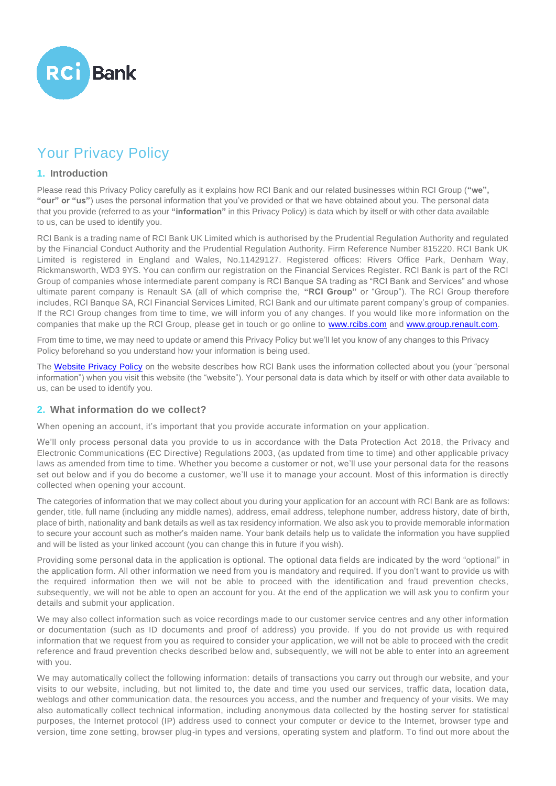

# Your Privacy Policy

#### **1. Introduction**

Please read this Privacy Policy carefully as it explains how RCI Bank and our related businesses within RCI Group (**"we", "our" or "us"**) uses the personal information that you've provided or that we have obtained about you. The personal data that you provide (referred to as your **"information"** in this Privacy Policy) is data which by itself or with other data available to us, can be used to identify you.

RCI Bank is a trading name of RCI Bank UK Limited which is authorised by the Prudential Regulation Authority and regulated by the Financial Conduct Authority and the Prudential Regulation Authority. Firm Reference Number 815220. RCI Bank UK Limited is registered in England and Wales, No.11429127. Registered offices: Rivers Office Park, Denham Way, Rickmansworth, WD3 9YS. You can confirm our registration on the Financial Services Register. RCI Bank is part of the RCI Group of companies whose intermediate parent company is RCI Banque SA trading as "RCI Bank and Services" and whose ultimate parent company is Renault SA (all of which comprise the, **"RCI Group"** or "Group"). The RCI Group therefore includes, RCI Banque SA, RCI Financial Services Limited, RCI Bank and our ultimate parent company's group of companies. If the RCI Group changes from time to time, we will inform you of any changes. If you would like more information on the companies that make up the RCI Group, please get in touch or go online to [www.rcibs.com](http://www.rcibs.com/) and [www.group.renault.com.](http://www.group.renault.com/)

From time to time, we may need to update or amend this Privacy Policy but we'll let you know of any changes to this Privacy Policy beforehand so you understand how your information is being used.

The [Website Privacy Policy](https://www.rcibank.co.uk/support-centre/legal-centre/privacy-cookies) on the website describes how RCI Bank uses the information collected about you (your "personal information") when you visit this website (the "website"). Your personal data is data which by itself or with other data available to us, can be used to identify you.

## **2. What information do we collect?**

When opening an account, it's important that you provide accurate information on your application.

We'll only process personal data you provide to us in accordance with the Data Protection Act 2018, the Privacy and Electronic Communications (EC Directive) Regulations 2003, (as updated from time to time) and other applicable privacy laws as amended from time to time. Whether you become a customer or not, we'll use your personal data for the reasons set out below and if you do become a customer, we'll use it to manage your account. Most of this information is directly collected when opening your account.

The categories of information that we may collect about you during your application for an account with RCI Bank are as follows: gender, title, full name (including any middle names), address, email address, telephone number, address history, date of birth, place of birth, nationality and bank details as well as tax residency information. We also ask you to provide memorable information to secure your account such as mother's maiden name. Your bank details help us to validate the information you have supplied and will be listed as your linked account (you can change this in future if you wish).

Providing some personal data in the application is optional. The optional data fields are indicated by the word "optional" in the application form. All other information we need from you is mandatory and required. If you don't want to provide us with the required information then we will not be able to proceed with the identification and fraud prevention checks, subsequently, we will not be able to open an account for you. At the end of the application we will ask you to confirm your details and submit your application.

We may also collect information such as voice recordings made to our customer service centres and any other information or documentation (such as ID documents and proof of address) you provide. If you do not provide us with required information that we request from you as required to consider your application, we will not be able to proceed with the credit reference and fraud prevention checks described below and, subsequently, we will not be able to enter into an agreement with you.

We may automatically collect the following information: details of transactions you carry out through our website, and your visits to our website, including, but not limited to, the date and time you used our services, traffic data, location data, weblogs and other communication data, the resources you access, and the number and frequency of your visits. We may also automatically collect technical information, including anonymous data collected by the hosting server for statistical purposes, the Internet protocol (IP) address used to connect your computer or device to the Internet, browser type and version, time zone setting, browser plug-in types and versions, operating system and platform. To find out more about the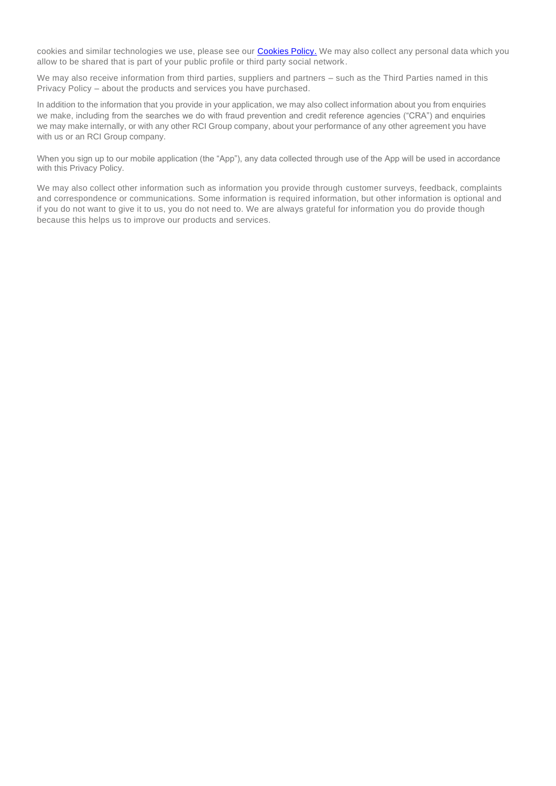cookies and similar technologies we use, please see our [Cookies Policy.](https://www.rcibank.co.uk/support-centre/legal-centre/privacy-cookies) We may also collect any personal data which you allow to be shared that is part of your public profile or third party social network.

We may also receive information from third parties, suppliers and partners – such as the Third Parties named in this Privacy Policy – about the products and services you have purchased.

In addition to the information that you provide in your application, we may also collect information about you from enquiries we make, including from the searches we do with fraud prevention and credit reference agencies ("CRA") and enquiries we may make internally, or with any other RCI Group company, about your performance of any other agreement you have with us or an RCI Group company.

When you sign up to our mobile application (the "App"), any data collected through use of the App will be used in accordance with this Privacy Policy.

We may also collect other information such as information you provide through customer surveys, feedback, complaints and correspondence or communications. Some information is required information, but other information is optional and if you do not want to give it to us, you do not need to. We are always grateful for information you do provide though because this helps us to improve our products and services.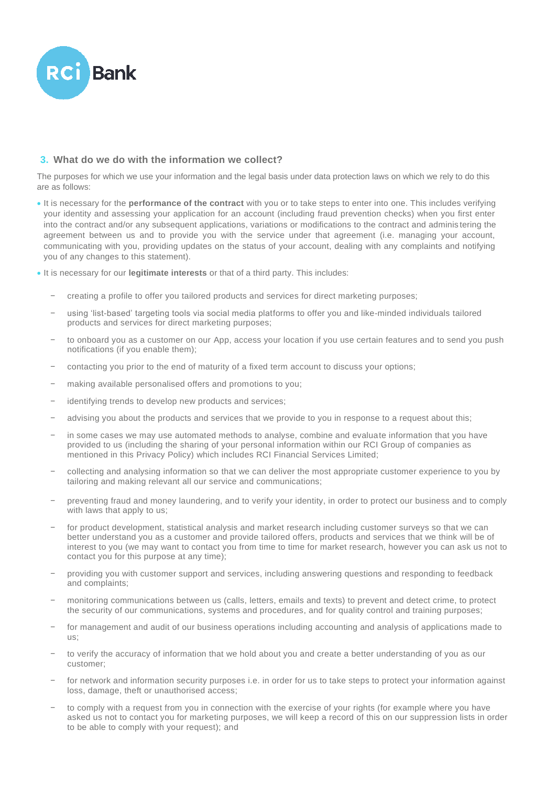

## **3. What do we do with the information we collect?**

The purposes for which we use your information and the legal basis under data protection laws on which we rely to do this are as follows:

- It is necessary for the **performance of the contract** with you or to take steps to enter into one. This includes verifying your identity and assessing your application for an account (including fraud prevention checks) when you first enter into the contract and/or any subsequent applications, variations or modifications to the contract and adminis tering the agreement between us and to provide you with the service under that agreement (i.e. managing your account, communicating with you, providing updates on the status of your account, dealing with any complaints and notifying you of any changes to this statement).
- It is necessary for our **legitimate interests** or that of a third party. This includes:
	- − creating a profile to offer you tailored products and services for direct marketing purposes;
	- − using 'list-based' targeting tools via social media platforms to offer you and like-minded individuals tailored products and services for direct marketing purposes;
	- to onboard you as a customer on our App, access your location if you use certain features and to send you push notifications (if you enable them);
	- contacting you prior to the end of maturity of a fixed term account to discuss your options;
	- making available personalised offers and promotions to you;
	- identifying trends to develop new products and services;
	- advising you about the products and services that we provide to you in response to a request about this;
	- in some cases we may use automated methods to analyse, combine and evaluate information that you have provided to us (including the sharing of your personal information within our RCI Group of companies as mentioned in this Privacy Policy) which includes RCI Financial Services Limited;
	- − collecting and analysing information so that we can deliver the most appropriate customer experience to you by tailoring and making relevant all our service and communications;
	- preventing fraud and money laundering, and to verify your identity, in order to protect our business and to comply with laws that apply to us;
	- for product development, statistical analysis and market research including customer surveys so that we can better understand you as a customer and provide tailored offers, products and services that we think will be of interest to you (we may want to contact you from time to time for market research, however you can ask us not to contact you for this purpose at any time);
	- − providing you with customer support and services, including answering questions and responding to feedback and complaints;
	- monitoring communications between us (calls, letters, emails and texts) to prevent and detect crime, to protect the security of our communications, systems and procedures, and for quality control and training purposes;
	- for management and audit of our business operations including accounting and analysis of applications made to  $\mathbf{u}$
	- to verify the accuracy of information that we hold about you and create a better understanding of you as our customer;
	- for network and information security purposes i.e. in order for us to take steps to protect your information against loss, damage, theft or unauthorised access;
	- to comply with a request from you in connection with the exercise of your rights (for example where you have asked us not to contact you for marketing purposes, we will keep a record of this on our suppression lists in order to be able to comply with your request); and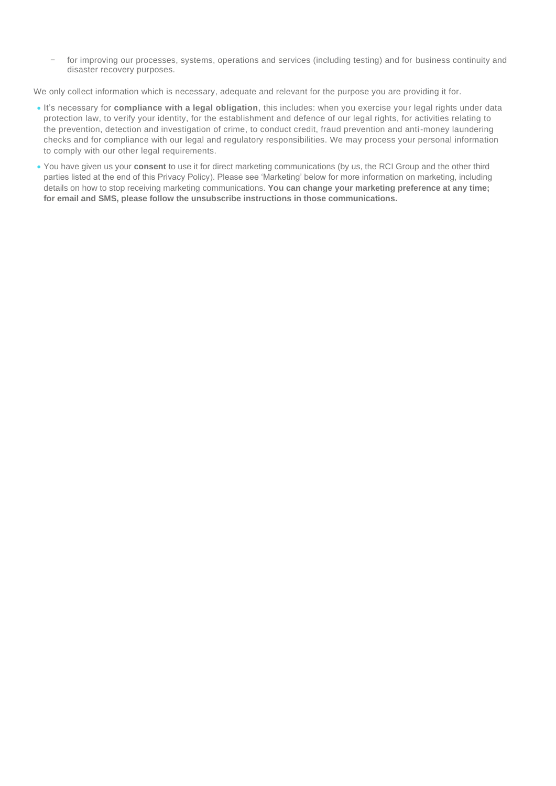for improving our processes, systems, operations and services (including testing) and for business continuity and disaster recovery purposes.

We only collect information which is necessary, adequate and relevant for the purpose you are providing it for.

- It's necessary for **compliance with a legal obligation**, this includes: when you exercise your legal rights under data protection law, to verify your identity, for the establishment and defence of our legal rights, for activities relating to the prevention, detection and investigation of crime, to conduct credit, fraud prevention and anti-money laundering checks and for compliance with our legal and regulatory responsibilities. We may process your personal information to comply with our other legal requirements.
- You have given us your **consent** to use it for direct marketing communications (by us, the RCI Group and the other third parties listed at the end of this Privacy Policy). Please see 'Marketing' below for more information on marketing, including details on how to stop receiving marketing communications. **You can change your marketing preference at any time; for email and SMS, please follow the unsubscribe instructions in those communications.**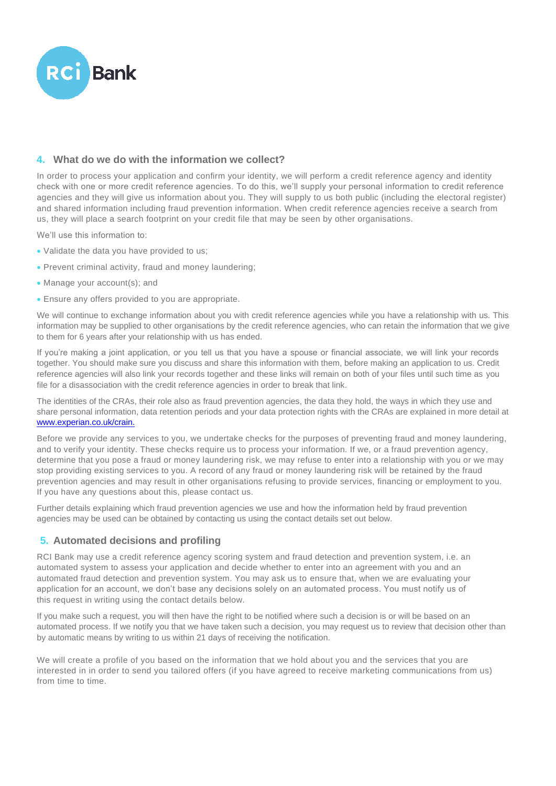

# **4. What do we do with the information we collect?**

In order to process your application and confirm your identity, we will perform a credit reference agency and identity check with one or more credit reference agencies. To do this, we'll supply your personal information to credit reference agencies and they will give us information about you. They will supply to us both public (including the electoral register) and shared information including fraud prevention information. When credit reference agencies receive a search from us, they will place a search footprint on your credit file that may be seen by other organisations.

We'll use this information to:

- Validate the data you have provided to us;
- Prevent criminal activity, fraud and money laundering;
- Manage your account(s): and
- Ensure any offers provided to you are appropriate.

We will continue to exchange information about you with credit reference agencies while you have a relationship with us. This information may be supplied to other organisations by the credit reference agencies, who can retain the information that we give to them for 6 years after your relationship with us has ended.

If you're making a joint application, or you tell us that you have a spouse or financial associate, we will link your records together. You should make sure you discuss and share this information with them, before making an application to us. Credit reference agencies will also link your records together and these links will remain on both of your files until such time as you file for a disassociation with the credit reference agencies in order to break that link.

The identities of the CRAs, their role also as fraud prevention agencies, the data they hold, the ways in which they use and share personal information, data retention periods and your data protection rights with the CRAs are explained in more detail at [www.experian.co.uk/crain.](http://www.experian.co.uk/crain.)

Before we provide any services to you, we undertake checks for the purposes of preventing fraud and money laundering, and to verify your identity. These checks require us to process your information. If we, or a fraud prevention agency, determine that you pose a fraud or money laundering risk, we may refuse to enter into a relationship with you or we may stop providing existing services to you. A record of any fraud or money laundering risk will be retained by the fraud prevention agencies and may result in other organisations refusing to provide services, financing or employment to you. If you have any questions about this, please contact us.

Further details explaining which fraud prevention agencies we use and how the information held by fraud prevention agencies may be used can be obtained by contacting us using the contact details set out below.

## **5. Automated decisions and profiling**

RCI Bank may use a credit reference agency scoring system and fraud detection and prevention system, i.e. an automated system to assess your application and decide whether to enter into an agreement with you and an automated fraud detection and prevention system. You may ask us to ensure that, when we are evaluating your application for an account, we don't base any decisions solely on an automated process. You must notify us of this request in writing using the contact details below.

If you make such a request, you will then have the right to be notified where such a decision is or will be based on an automated process. If we notify you that we have taken such a decision, you may request us to review that decision other than by automatic means by writing to us within 21 days of receiving the notification.

We will create a profile of you based on the information that we hold about you and the services that you are interested in in order to send you tailored offers (if you have agreed to receive marketing communications from us) from time to time.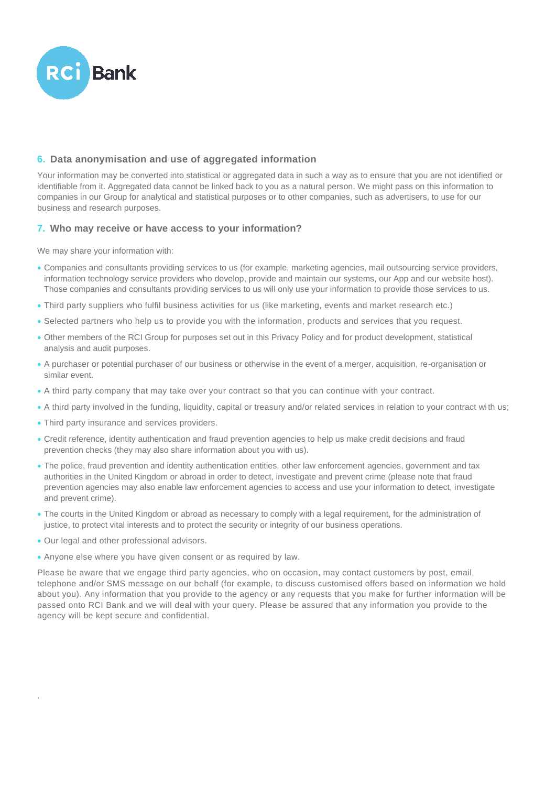

# **6. Data anonymisation and use of aggregated information**

Your information may be converted into statistical or aggregated data in such a way as to ensure that you are not identified or identifiable from it. Aggregated data cannot be linked back to you as a natural person. We might pass on this information to companies in our Group for analytical and statistical purposes or to other companies, such as advertisers, to use for our business and research purposes.

## **7. Who may receive or have access to your information?**

We may share your information with:

- Companies and consultants providing services to us (for example, marketing agencies, mail outsourcing service providers, information technology service providers who develop, provide and maintain our systems, our App and our website host). Those companies and consultants providing services to us will only use your information to provide those services to us.
- Third party suppliers who fulfil business activities for us (like marketing, events and market research etc.)
- Selected partners who help us to provide you with the information, products and services that you request.
- Other members of the RCI Group for purposes set out in this Privacy Policy and for product development, statistical analysis and audit purposes.
- A purchaser or potential purchaser of our business or otherwise in the event of a merger, acquisition, re-organisation or similar event.
- A third party company that may take over your contract so that you can continue with your contract.
- A third party involved in the funding, liquidity, capital or treasury and/or related services in relation to your contract wi th us;
- Third party insurance and services providers.
- Credit reference, identity authentication and fraud prevention agencies to help us make credit decisions and fraud prevention checks (they may also share information about you with us).
- The police, fraud prevention and identity authentication entities, other law enforcement agencies, government and tax authorities in the United Kingdom or abroad in order to detect, investigate and prevent crime (please note that fraud prevention agencies may also enable law enforcement agencies to access and use your information to detect, investigate and prevent crime).
- The courts in the United Kingdom or abroad as necessary to comply with a legal requirement, for the administration of justice, to protect vital interests and to protect the security or integrity of our business operations.
- Our legal and other professional advisors.

.

• Anyone else where you have given consent or as required by law.

Please be aware that we engage third party agencies, who on occasion, may contact customers by post, email, telephone and/or SMS message on our behalf (for example, to discuss customised offers based on information we hold about you). Any information that you provide to the agency or any requests that you make for further information will be passed onto RCI Bank and we will deal with your query. Please be assured that any information you provide to the agency will be kept secure and confidential.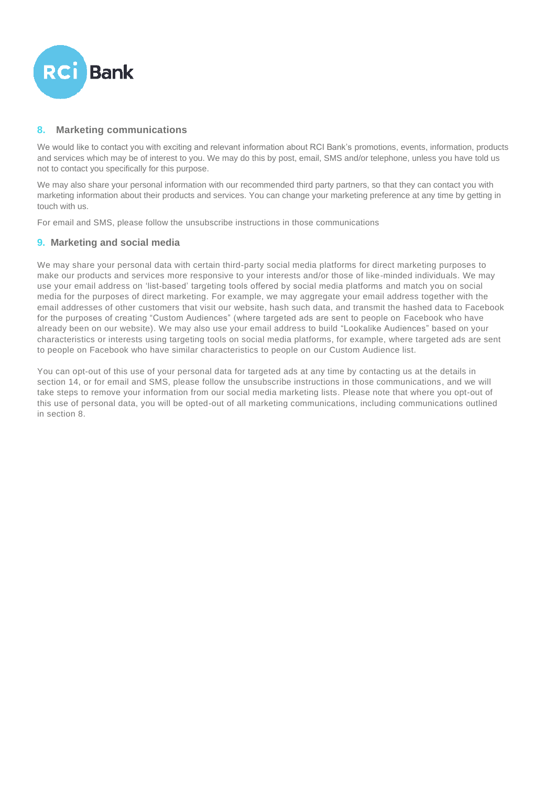

# **8. Marketing communications**

We would like to contact you with exciting and relevant information about RCI Bank's promotions, events, information, products and services which may be of interest to you. We may do this by post, email, SMS and/or telephone, unless you have told us not to contact you specifically for this purpose.

We may also share your personal information with our recommended third party partners, so that they can contact you with marketing information about their products and services. You can change your marketing preference at any time by getting in touch with us.

For email and SMS, please follow the unsubscribe instructions in those communications

## **9. Marketing and social media**

We may share your personal data with certain third-party social media platforms for direct marketing purposes to make our products and services more responsive to your interests and/or those of like-minded individuals. We may use your email address on 'list-based' targeting tools offered by social media platforms and match you on social media for the purposes of direct marketing. For example, we may aggregate your email address together with the email addresses of other customers that visit our website, hash such data, and transmit the hashed data to Facebook for the purposes of creating "Custom Audiences" (where targeted ads are sent to people on Facebook who have already been on our website). We may also use your email address to build "Lookalike Audiences" based on your characteristics or interests using targeting tools on social media platforms, for example, where targeted ads are sent to people on Facebook who have similar characteristics to people on our Custom Audience list.

You can opt-out of this use of your personal data for targeted ads at any time by contacting us at the details in section 14, or for email and SMS, please follow the unsubscribe instructions in those communications, and we will take steps to remove your information from our social media marketing lists. Please note that where you opt-out of this use of personal data, you will be opted-out of all marketing communications, including communications outlined in section 8.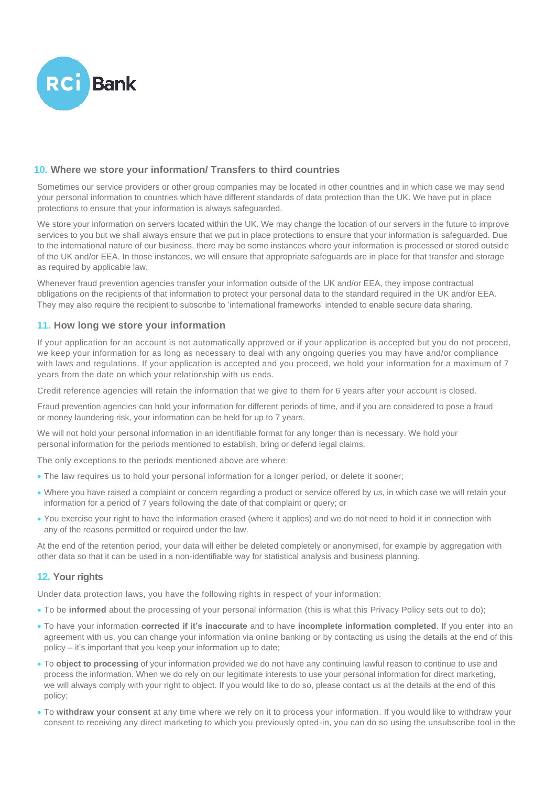

## **10. Where we store your information/ Transfers to third countries**

Sometimes our service providers or other group companies may be located in other countries and in which case we may send your personal information to countries which have different standards of data protection than the UK. We have put in place protections to ensure that your information is always safeguarded.

We store your information on servers located within the UK. We may change the location of our servers in the future to improve services to you but we shall always ensure that we put in place protections to ensure that your information is safeguarded. Due to the international nature of our business, there may be some instances where your information is processed or stored outside of the UK and/or EEA. In those instances, we will ensure that appropriate safeguards are in place for that transfer and storage as required by applicable law.

Whenever fraud prevention agencies transfer your information outside of the UK and/or EEA, they impose contractual obligations on the recipients of that information to protect your personal data to the standard required in the UK and/or EEA. They may also require the recipient to subscribe to 'international frameworks' intended to enable secure data sharing.

## **11. How long we store your information**

If your application for an account is not automatically approved or if your application is accepted but you do not proceed, we keep your information for as long as necessary to deal with any ongoing queries you may have and/or compliance with laws and regulations. If your application is accepted and you proceed, we hold your information for a maximum of 7 years from the date on which your relationship with us ends.

Credit reference agencies will retain the information that we give to them for 6 years after your account is closed.

Fraud prevention agencies can hold your information for different periods of time, and if you are considered to pose a fraud or money laundering risk, your information can be held for up to 7 years.

We will not hold your personal information in an identifiable format for any longer than is necessary. We hold your personal information for the periods mentioned to establish, bring or defend legal claims.

The only exceptions to the periods mentioned above are where:

- The law requires us to hold your personal information for a longer period, or delete it sooner;
- Where you have raised a complaint or concern regarding a product or service offered by us, in which case we will retain your information for a period of 7 years following the date of that complaint or query; or
- You exercise your right to have the information erased (where it applies) and we do not need to hold it in connection with any of the reasons permitted or required under the law.

At the end of the retention period, your data will either be deleted completely or anonymised, for example by aggregation with other data so that it can be used in a non-identifiable way for statistical analysis and business planning.

## **12. Your rights**

Under data protection laws, you have the following rights in respect of your information:

- To be **informed** about the processing of your personal information (this is what this Privacy Policy sets out to do);
- To have your information **corrected if it's inaccurate** and to have **incomplete information completed**. If you enter into an agreement with us, you can change your information via online banking or by contacting us using the details at the end of this policy – it's important that you keep your information up to date;
- To **object to processing** of your information provided we do not have any continuing lawful reason to continue to use and process the information. When we do rely on our legitimate interests to use your personal information for direct marketing, we will always comply with your right to object. If you would like to do so, please contact us at the details at the end of this policy;
- To **withdraw your consent** at any time where we rely on it to process your information. If you would like to withdraw your consent to receiving any direct marketing to which you previously opted-in, you can do so using the unsubscribe tool in the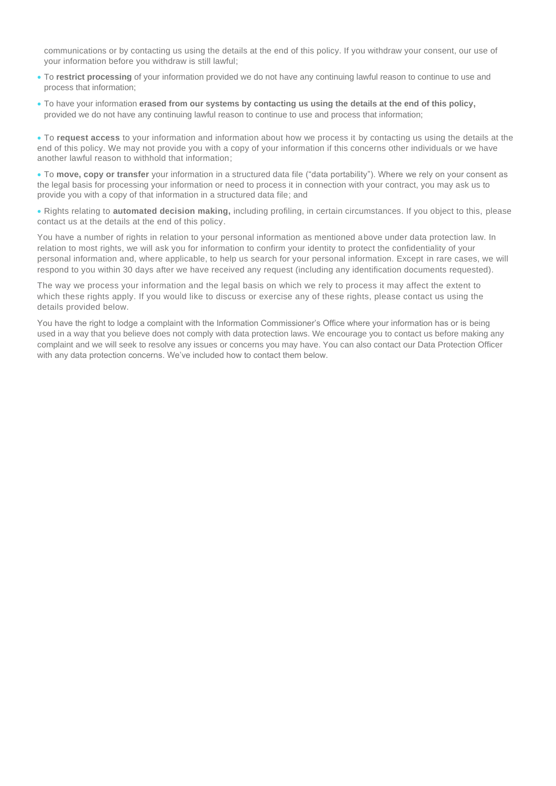communications or by contacting us using the details at the end of this policy. If you withdraw your consent, our use of your information before you withdraw is still lawful;

- To **restrict processing** of your information provided we do not have any continuing lawful reason to continue to use and process that information;
- To have your information **erased from our systems by contacting us using the details at the end of this policy,** provided we do not have any continuing lawful reason to continue to use and process that information;

• To **request access** to your information and information about how we process it by contacting us using the details at the end of this policy. We may not provide you with a copy of your information if this concerns other individuals or we have another lawful reason to withhold that information;

• To **move, copy or transfer** your information in a structured data file ("data portability"). Where we rely on your consent as the legal basis for processing your information or need to process it in connection with your contract, you may ask us to provide you with a copy of that information in a structured data file; and

• Rights relating to **automated decision making,** including profiling, in certain circumstances. If you object to this, please contact us at the details at the end of this policy.

You have a number of rights in relation to your personal information as mentioned above under data protection law. In relation to most rights, we will ask you for information to confirm your identity to protect the confidentiality of your personal information and, where applicable, to help us search for your personal information. Except in rare cases, we will respond to you within 30 days after we have received any request (including any identification documents requested).

The way we process your information and the legal basis on which we rely to process it may affect the extent to which these rights apply. If you would like to discuss or exercise any of these rights, please contact us using the details provided below.

You have the right to lodge a complaint with the Information Commissioner's Office where your information has or is being used in a way that you believe does not comply with data protection laws. We encourage you to contact us before making any complaint and we will seek to resolve any issues or concerns you may have. You can also contact our Data Protection Officer with any data protection concerns. We've included how to contact them below.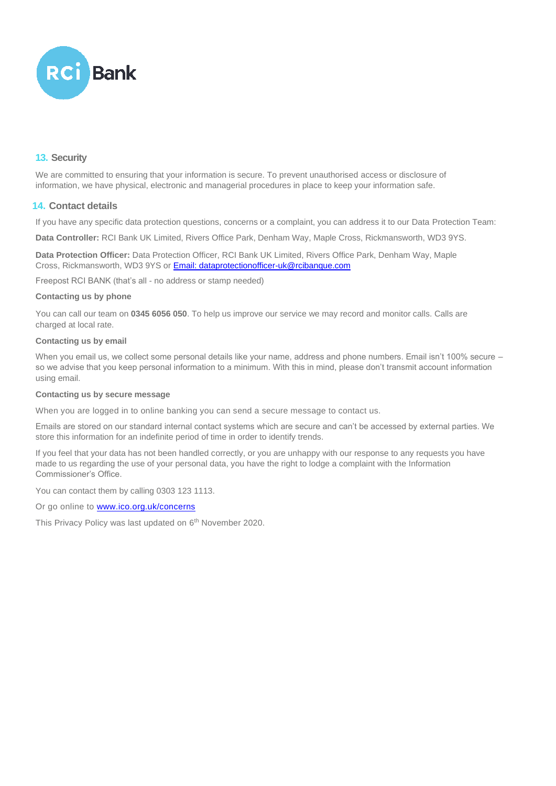

# **13. Security**

We are committed to ensuring that your information is secure. To prevent unauthorised access or disclosure of information, we have physical, electronic and managerial procedures in place to keep your information safe.

# **14. Contact details**

If you have any specific data protection questions, concerns or a complaint, you can address it to our Data Protection Team:

**Data Controller:** RCI Bank UK Limited, Rivers Office Park, Denham Way, Maple Cross, Rickmansworth, WD3 9YS.

**Data Protection Officer:** Data Protection Officer, RCI Bank UK Limited, Rivers Office Park, Denham Way, Maple Cross, Rickmansworth, WD3 9YS or **Email: dataprotectionofficer-uk@rcibanque.com** 

Freepost RCI BANK (that's all - no address or stamp needed)

#### **Contacting us by phone**

You can call our team on **0345 6056 050**. To help us improve our service we may record and monitor calls. Calls are charged at local rate.

#### **Contacting us by email**

When you email us, we collect some personal details like your name, address and phone numbers. Email isn't 100% secure – so we advise that you keep personal information to a minimum. With this in mind, please don't transmit account information using email.

#### **Contacting us by secure message**

When you are logged in to online banking you can send a secure message to contact us.

Emails are stored on our standard internal contact systems which are secure and can't be accessed by external parties. We store this information for an indefinite period of time in order to identify trends.

If you feel that your data has not been handled correctly, or you are unhappy with our response to any requests you have made to us regarding the use of your personal data, you have the right to lodge a complaint with the Information Commissioner's Office.

You can contact them by calling 0303 123 1113.

Or go online to **www.ico.org.uk/concerns** 

This Privacy Policy was last updated on 6<sup>th</sup> November 2020.